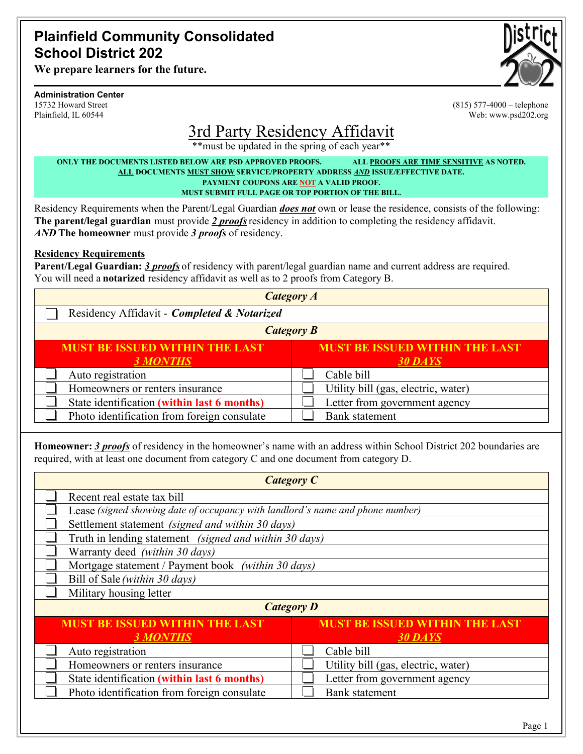### **Plainfield Community Consolidated School District 202**

**We prepare learners for the future.**

#### **Administration Center**

15732 Howard Street Plainfield, IL 60544



(815) 577-4000 – telephone Web: www.psd202.org

# 3rd Party Residency Affidavit

\*\*must be updated in the spring of each year\*\*

**ONLY THE DOCUMENTS LISTED BELOW ARE PSD APPROVED PROOFS. ALL PROOFS ARE TIME SENSITIVE AS NOTED. ALL DOCUMENTS MUST SHOW SERVICE/PROPERTY ADDRESS** *AND* **ISSUE/EFFECTIVE DATE. PAYMENT COUPONS ARE NOT A VALID PROOF. MUST SUBMIT FULL PAGE OR TOP PORTION OF THE BILL.**

Residency Requirements when the Parent/Legal Guardian *does not* own or lease the residence, consists of the following: **The parent/legal guardian** must provide *2 proofs*residency in addition to completing the residency affidavit. *AND* **The homeowner** must provide *3 proofs* of residency.

#### **Residency Requirements**

**Parent/Legal Guardian:** *3 proofs* of residency with parent/legal guardian name and current address are required. You will need a **notarized** residency affidavit as well as to 2 proofs from Category B.

| <b>Category A</b>                           |                                       |  |  |  |
|---------------------------------------------|---------------------------------------|--|--|--|
| Residency Affidavit - Completed & Notarized |                                       |  |  |  |
| <b>Category B</b>                           |                                       |  |  |  |
| <b>MUST BE ISSUED WITHIN THE LAST</b>       | <b>MUST BE ISSUED WITHIN THE LAST</b> |  |  |  |
| <b>3 MONTHS</b>                             | 30 DAYS                               |  |  |  |
| Auto registration                           | Cable bill                            |  |  |  |
| Homeowners or renters insurance             | Utility bill (gas, electric, water)   |  |  |  |
| State identification (within last 6 months) | Letter from government agency         |  |  |  |
| Photo identification from foreign consulate | <b>Bank</b> statement                 |  |  |  |

**Homeowner:** *3 proofs* of residency in the homeowner's name with an address within School District 202 boundaries are required, with at least one document from category C and one document from category D.

| <b>Category C</b>                                                              |                                       |  |  |  |
|--------------------------------------------------------------------------------|---------------------------------------|--|--|--|
| Recent real estate tax bill                                                    |                                       |  |  |  |
| Lease (signed showing date of occupancy with landlord's name and phone number) |                                       |  |  |  |
| Settlement statement (signed and within 30 days)                               |                                       |  |  |  |
| Truth in lending statement (signed and within 30 days)                         |                                       |  |  |  |
| Warranty deed (within 30 days)                                                 |                                       |  |  |  |
| Mortgage statement / Payment book (within 30 days)                             |                                       |  |  |  |
| Bill of Sale (within 30 days)                                                  |                                       |  |  |  |
| Military housing letter                                                        |                                       |  |  |  |
| <b>Category D</b>                                                              |                                       |  |  |  |
| <b>MUST BE ISSUED WITHIN THE LAST</b>                                          | <b>MUST BE ISSUED WITHIN THE LAST</b> |  |  |  |
| <b>3 MONTHS</b>                                                                | 30 DAYS                               |  |  |  |
| Auto registration                                                              | Cable bill                            |  |  |  |
| Homeowners or renters insurance                                                | Utility bill (gas, electric, water)   |  |  |  |
| State identification (within last 6 months)                                    | Letter from government agency         |  |  |  |
| Photo identification from foreign consulate                                    | <b>Bank</b> statement                 |  |  |  |
|                                                                                |                                       |  |  |  |